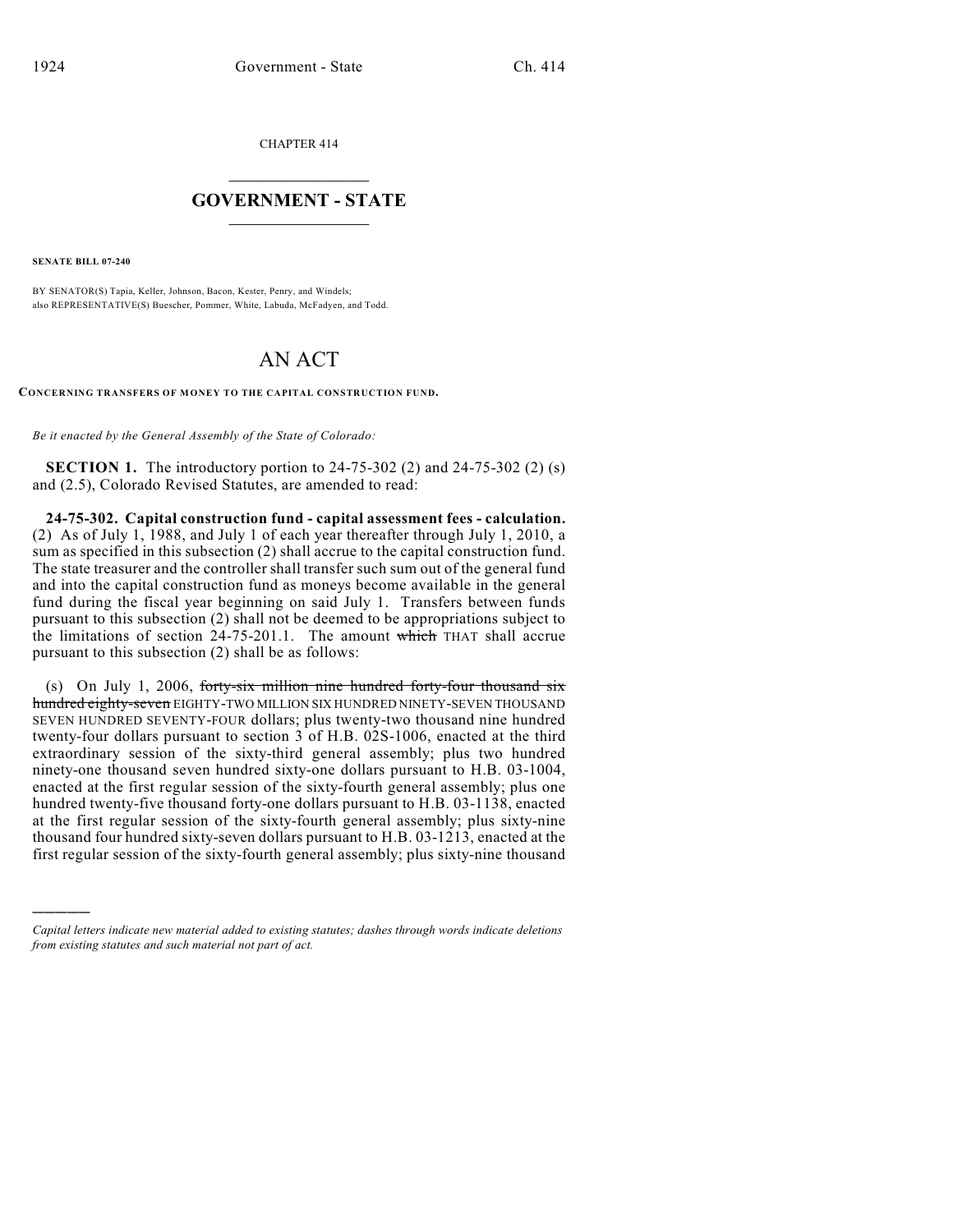CHAPTER 414

## $\mathcal{L}_\text{max}$  . The set of the set of the set of the set of the set of the set of the set of the set of the set of the set of the set of the set of the set of the set of the set of the set of the set of the set of the set **GOVERNMENT - STATE**  $\_$   $\_$

**SENATE BILL 07-240**

)))))

BY SENATOR(S) Tapia, Keller, Johnson, Bacon, Kester, Penry, and Windels; also REPRESENTATIVE(S) Buescher, Pommer, White, Labuda, McFadyen, and Todd.

## AN ACT

**CONCERNING TRANSFERS OF MONEY TO THE CAPITAL CONSTRUCTION FUND.**

*Be it enacted by the General Assembly of the State of Colorado:*

**SECTION 1.** The introductory portion to 24-75-302 (2) and 24-75-302 (2) (s) and (2.5), Colorado Revised Statutes, are amended to read:

**24-75-302. Capital construction fund - capital assessment fees - calculation.** (2) As of July 1, 1988, and July 1 of each year thereafter through July 1, 2010, a sum as specified in this subsection (2) shall accrue to the capital construction fund. The state treasurer and the controller shall transfer such sum out of the general fund and into the capital construction fund as moneys become available in the general fund during the fiscal year beginning on said July 1. Transfers between funds pursuant to this subsection (2) shall not be deemed to be appropriations subject to the limitations of section  $24-75-201.1$ . The amount which THAT shall accrue pursuant to this subsection (2) shall be as follows:

(s) On July 1, 2006, forty-six million nine hundred forty-four thousand six hundred eighty-seven EIGHTY-TWO MILLION SIX HUNDRED NINETY-SEVEN THOUSAND SEVEN HUNDRED SEVENTY-FOUR dollars; plus twenty-two thousand nine hundred twenty-four dollars pursuant to section 3 of H.B. 02S-1006, enacted at the third extraordinary session of the sixty-third general assembly; plus two hundred ninety-one thousand seven hundred sixty-one dollars pursuant to H.B. 03-1004, enacted at the first regular session of the sixty-fourth general assembly; plus one hundred twenty-five thousand forty-one dollars pursuant to H.B. 03-1138, enacted at the first regular session of the sixty-fourth general assembly; plus sixty-nine thousand four hundred sixty-seven dollars pursuant to H.B. 03-1213, enacted at the first regular session of the sixty-fourth general assembly; plus sixty-nine thousand

*Capital letters indicate new material added to existing statutes; dashes through words indicate deletions from existing statutes and such material not part of act.*